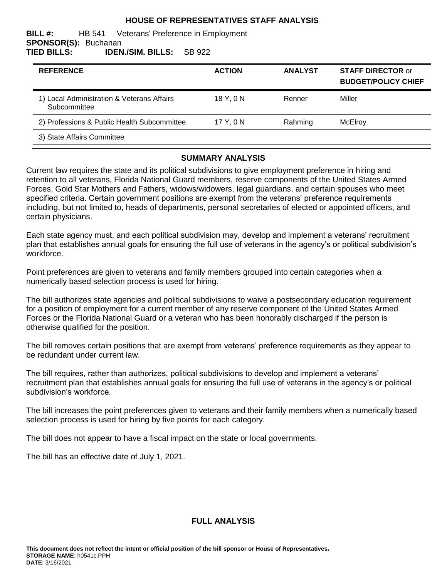### **HOUSE OF REPRESENTATIVES STAFF ANALYSIS**

#### **BILL #:** HB 541 Veterans' Preference in Employment **SPONSOR(S):** Buchanan **TIED BILLS: IDEN./SIM. BILLS:** SB 922

| <b>REFERENCE</b>                                           | <b>ACTION</b> | <b>ANALYST</b> | <b>STAFF DIRECTOR or</b><br><b>BUDGET/POLICY CHIEF</b> |
|------------------------------------------------------------|---------------|----------------|--------------------------------------------------------|
| 1) Local Administration & Veterans Affairs<br>Subcommittee | 18 Y.ON       | Renner         | Miller                                                 |
| 2) Professions & Public Health Subcommittee                | 17 Y.ON       | Rahming        | McElrov                                                |
| 3) State Affairs Committee                                 |               |                |                                                        |

### **SUMMARY ANALYSIS**

Current law requires the state and its political subdivisions to give employment preference in hiring and retention to all veterans, Florida National Guard members, reserve components of the United States Armed Forces, Gold Star Mothers and Fathers, widows/widowers, legal guardians, and certain spouses who meet specified criteria. Certain government positions are exempt from the veterans' preference requirements including, but not limited to, heads of departments, personal secretaries of elected or appointed officers, and certain physicians.

Each state agency must, and each political subdivision may, develop and implement a veterans' recruitment plan that establishes annual goals for ensuring the full use of veterans in the agency's or political subdivision's workforce.

Point preferences are given to veterans and family members grouped into certain categories when a numerically based selection process is used for hiring.

The bill authorizes state agencies and political subdivisions to waive a postsecondary education requirement for a position of employment for a current member of any reserve component of the United States Armed Forces or the Florida National Guard or a veteran who has been honorably discharged if the person is otherwise qualified for the position.

The bill removes certain positions that are exempt from veterans' preference requirements as they appear to be redundant under current law.

The bill requires, rather than authorizes, political subdivisions to develop and implement a veterans' recruitment plan that establishes annual goals for ensuring the full use of veterans in the agency's or political subdivision's workforce.

The bill increases the point preferences given to veterans and their family members when a numerically based selection process is used for hiring by five points for each category.

The bill does not appear to have a fiscal impact on the state or local governments.

The bill has an effective date of July 1, 2021.

## **FULL ANALYSIS**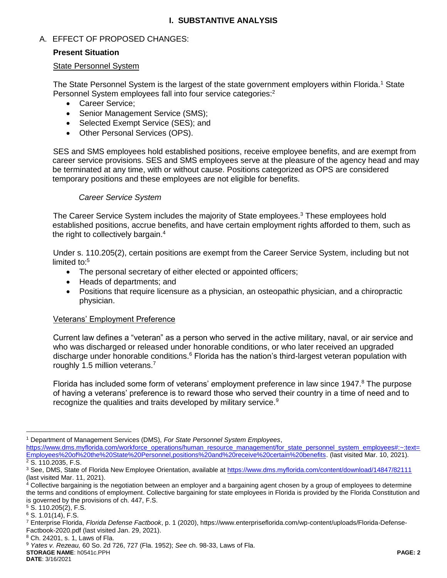# **I. SUBSTANTIVE ANALYSIS**

## A. EFFECT OF PROPOSED CHANGES:

### **Present Situation**

#### State Personnel System

The State Personnel System is the largest of the state government employers within Florida.<sup>1</sup> State Personnel System employees fall into four service categories:<sup>2</sup>

- Career Service:
- Senior Management Service (SMS);
- Selected Exempt Service (SES); and
- [Other Personal Services](http://www.dms.myflorida.com/workforce_operations/human_resource_management/for_other_personal_services_employment_ops) (OPS).

SES and SMS employees hold established positions, receive employee benefits, and are exempt from career service provisions. SES and SMS employees serve at the pleasure of the agency head and may be terminated at any time, with or without cause. Positions categorized as OPS are considered temporary positions and these employees are not eligible for benefits.

### *Career Service System*

The Career Service System includes the majority of State employees.<sup>3</sup> These employees hold established positions, accrue benefits, and have certain employment rights afforded to them, such as the right to collectively bargain.<sup>4</sup>

Under s. 110.205(2), certain positions are exempt from the Career Service System, including but not limited to:<sup>5</sup>

- The personal secretary of either elected or appointed officers;
- Heads of departments; and
- Positions that require licensure as a physician, an osteopathic physician, and a chiropractic physician.

### Veterans' Employment Preference

Current law defines a "veteran" as a person who served in the active military, naval, or air service and who was discharged or released under honorable conditions, or who later received an upgraded discharge under honorable conditions.<sup>6</sup> Florida has the nation's third-largest veteran population with roughly 1.5 million veterans.<sup>7</sup>

Florida has included some form of veterans' employment preference in law since 1947.<sup>8</sup> The purpose of having a veterans' preference is to reward those who served their country in a time of need and to recognize the qualities and traits developed by military service.<sup>9</sup>

[https://www.dms.myflorida.com/workforce\\_operations/human\\_resource\\_management/for\\_state\\_personnel\\_system\\_employees#:~:text=](https://www.dms.myflorida.com/workforce_operations/human_resource_management/for_state_personnel_system_employees#:~:text=Employees%20of%20the%20State%20Personnel,positions%20and%20receive%20certain%20benefits) [Employees%20of%20the%20State%20Personnel,positions%20and%20receive%20certain%20benefits.](https://www.dms.myflorida.com/workforce_operations/human_resource_management/for_state_personnel_system_employees#:~:text=Employees%20of%20the%20State%20Personnel,positions%20and%20receive%20certain%20benefits) (last visited Mar. 10, 2021).  $2$  S. 110.2035, F.S.

 $\overline{a}$ 

<sup>1</sup> Department of Management Services (DMS), *For State Personnel System Employees*,

<sup>3</sup> See, DMS, State of Florida New Employee Orientation, available at<https://www.dms.myflorida.com/content/download/14847/82111> (last visited Mar. 11, 2021).

 $4$  Collective bargaining is the negotiation between an employer and a bargaining agent chosen by a group of employees to determine the terms and conditions of employment. Collective bargaining for state employees in Florida is provided by the Florida Constitution and is governed by the provisions of ch. 447, F.S.

<sup>5</sup> S. 110.205(2), F.S.

<sup>6</sup> S. 1.01(14), F.S.

<sup>7</sup> Enterprise Florida, *Florida Defense Factbook*, p. 1 (2020), https://www.enterpriseflorida.com/wp-content/uploads/Florida-Defense-Factbook-2020.pdf (last visited Jan. 29, 2021).

<sup>8</sup> Ch. 24201, s. 1, Laws of Fla.

**STORAGE NAME**: h0541c.PPH **PAGE: 2** <sup>9</sup> *Yates v. Rezeau,* 60 So. 2d 726, 727 (Fla. 1952); *See* ch. 98-33, Laws of Fla.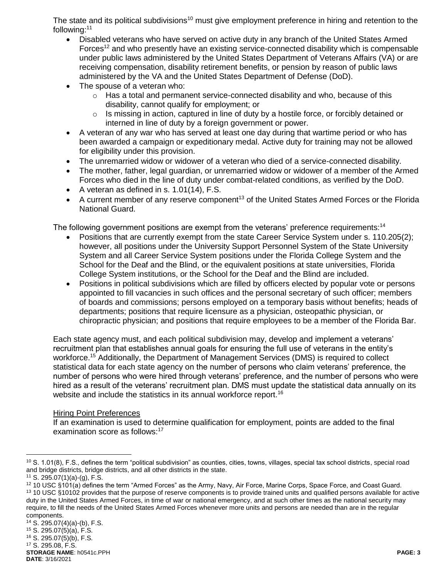The state and its political subdivisions<sup>10</sup> must give employment preference in hiring and retention to the following:<sup>11</sup>

- Disabled veterans who have served on active duty in any branch of the United States Armed Forces<sup>12</sup> and who presently have an existing service-connected disability which is compensable under public laws administered by the United States Department of Veterans Affairs (VA) or are receiving compensation, disability retirement benefits, or pension by reason of public laws administered by the VA and the United States Department of Defense (DoD).
- The spouse of a veteran who:
	- $\circ$  Has a total and permanent service-connected disability and who, because of this disability, cannot qualify for employment; or
	- $\circ$  Is missing in action, captured in line of duty by a hostile force, or forcibly detained or interned in line of duty by a foreign government or power.
- A veteran of any war who has served at least one day during that wartime period or who has been awarded a campaign or expeditionary medal. Active duty for training may not be allowed for eligibility under this provision.
- The unremarried widow or widower of a veteran who died of a service-connected disability.
- The mother, father, legal guardian, or unremarried widow or widower of a member of the Armed Forces who died in the line of duty under combat-related conditions, as verified by the DoD.
- A veteran as defined in s.  $1.01(14)$ , F.S.
- A current member of any reserve component<sup>13</sup> of the United States Armed Forces or the Florida National Guard.

The following government positions are exempt from the veterans' preference requirements:<sup>14</sup>

- Positions that are currently exempt from the state Career Service System under s. 110.205(2); however, all positions under the University Support Personnel System of the State University System and all Career Service System positions under the Florida College System and the School for the Deaf and the Blind, or the equivalent positions at state universities, Florida College System institutions, or the School for the Deaf and the Blind are included.
- Positions in political subdivisions which are filled by officers elected by popular vote or persons appointed to fill vacancies in such offices and the personal secretary of such officer; members of boards and commissions; persons employed on a temporary basis without benefits; heads of departments; positions that require licensure as a physician, osteopathic physician, or chiropractic physician; and positions that require employees to be a member of the Florida Bar.

Each state agency must, and each political subdivision may, develop and implement a veterans' recruitment plan that establishes annual goals for ensuring the full use of veterans in the entity's workforce.<sup>15</sup> Additionally, the Department of Management Services (DMS) is required to collect statistical data for each state agency on the number of persons who claim veterans' preference, the number of persons who were hired through veterans' preference, and the number of persons who were hired as a result of the veterans' recruitment plan. DMS must update the statistical data annually on its website and include the statistics in its annual workforce report.<sup>16</sup>

#### Hiring Point Preferences

If an examination is used to determine qualification for employment, points are added to the final examination score as follows:<sup>17</sup>

 $\overline{a}$ 

<sup>14</sup> S. 295.07(4)(a)-(b), F.S.

<sup>15</sup> S. 295.07(5)(a), F.S.

<sup>16</sup> S. 295.07(5)(b), F.S.

**STORAGE NAME**: h0541c.PPH **PAGE: 3 DATE**: 3/16/2021 <sup>17</sup> S. 295.08, F.S.

 $10$  S. 1.01(8), F.S., defines the term "political subdivision" as counties, cities, towns, villages, special tax school districts, special road and bridge districts, bridge districts, and all other districts in the state.

 $11$  S. 295.07(1)(a)-(g), F.S.

<sup>12</sup> 10 USC §101(a) defines the term "Armed Forces" as the Army, Navy, Air Force, Marine Corps, Space Force, and Coast Guard. <sup>13</sup> 10 USC §10102 provides that the purpose of reserve components is to provide trained units and qualified persons available for active duty in the United States Armed Forces, in time of war or national emergency, and at such other times as the national security may require, to fill the needs of the United States Armed Forces whenever more units and persons are needed than are in the regular components.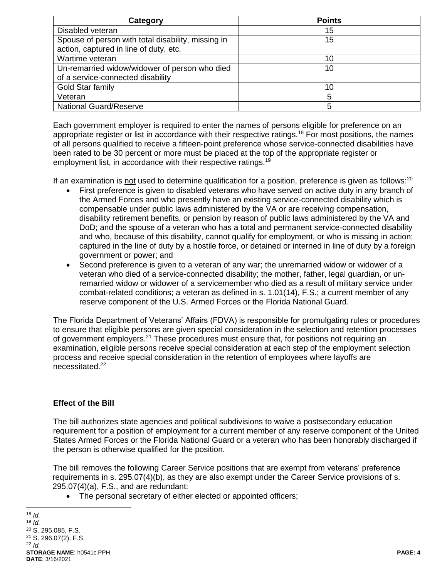| Category                                           | <b>Points</b> |
|----------------------------------------------------|---------------|
| Disabled veteran                                   | 15            |
| Spouse of person with total disability, missing in | 15            |
| action, captured in line of duty, etc.             |               |
| Wartime veteran                                    | 10            |
| Un-remarried widow/widower of person who died      | 10            |
| of a service-connected disability                  |               |
| Gold Star family                                   | 10            |
| Veteran                                            | 5             |
| <b>National Guard/Reserve</b>                      | 5             |

Each government employer is required to enter the names of persons eligible for preference on an appropriate register or list in accordance with their respective ratings.<sup>18</sup> For most positions, the names of all persons qualified to receive a fifteen-point preference whose service-connected disabilities have been rated to be 30 percent or more must be placed at the top of the appropriate register or employment list, in accordance with their respective ratings.<sup>19</sup>

If an examination is not used to determine qualification for a position, preference is given as follows: $^{20}$ 

- First preference is given to disabled veterans who have served on active duty in any branch of the Armed Forces and who presently have an existing service-connected disability which is compensable under public laws administered by the VA or are receiving compensation, disability retirement benefits, or pension by reason of public laws administered by the VA and DoD; and the spouse of a veteran who has a total and permanent service-connected disability and who, because of this disability, cannot qualify for employment, or who is missing in action; captured in the line of duty by a hostile force, or detained or interned in line of duty by a foreign government or power; and
- Second preference is given to a veteran of any war; the unremarried widow or widower of a veteran who died of a service-connected disability; the mother, father, legal guardian, or unremarried widow or widower of a servicemember who died as a result of military service under combat-related conditions; a veteran as defined in s. 1.01(14), F.S.; a current member of any reserve component of the U.S. Armed Forces or the Florida National Guard.

The Florida Department of Veterans' Affairs (FDVA) is responsible for promulgating rules or procedures to ensure that eligible persons are given special consideration in the selection and retention processes of government employers.<sup>21</sup> These procedures must ensure that, for positions not requiring an examination, eligible persons receive special consideration at each step of the employment selection process and receive special consideration in the retention of employees where layoffs are necessitated.<sup>22</sup>

### **Effect of the Bill**

The bill authorizes state agencies and political subdivisions to waive a postsecondary education requirement for a position of employment for a current member of any reserve component of the United States Armed Forces or the Florida National Guard or a veteran who has been honorably discharged if the person is otherwise qualified for the position.

The bill removes the following Career Service positions that are exempt from veterans' preference requirements in s. 295.07(4)(b), as they are also exempt under the Career Service provisions of s. 295.07(4)(a), F.S., and are redundant:

• The personal secretary of either elected or appointed officers;

 $\overline{a}$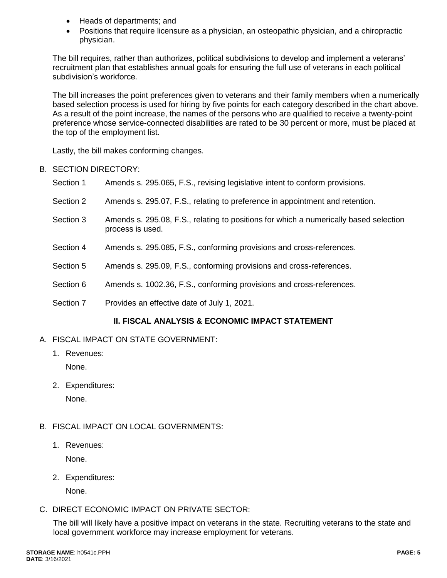- Heads of departments; and
- Positions that require licensure as a physician, an osteopathic physician, and a chiropractic physician.

The bill requires, rather than authorizes, political subdivisions to develop and implement a veterans' recruitment plan that establishes annual goals for ensuring the full use of veterans in each political subdivision's workforce.

The bill increases the point preferences given to veterans and their family members when a numerically based selection process is used for hiring by five points for each category described in the chart above. As a result of the point increase, the names of the persons who are qualified to receive a twenty-point preference whose service-connected disabilities are rated to be 30 percent or more, must be placed at the top of the employment list.

Lastly, the bill makes conforming changes.

- B. SECTION DIRECTORY:
	- Section 1 Amends s. 295.065, F.S., revising legislative intent to conform provisions.
	- Section 2 Amends s. 295.07, F.S., relating to preference in appointment and retention.
	- Section 3 Amends s. 295.08, F.S., relating to positions for which a numerically based selection process is used.
	- Section 4 Amends s. 295.085, F.S., conforming provisions and cross-references.
	- Section 5 Amends s. 295.09, F.S., conforming provisions and cross-references.
	- Section 6 Amends s. 1002.36, F.S., conforming provisions and cross-references.
	- Section 7 Provides an effective date of July 1, 2021.

# **II. FISCAL ANALYSIS & ECONOMIC IMPACT STATEMENT**

- A. FISCAL IMPACT ON STATE GOVERNMENT:
	- 1. Revenues:

None.

2. Expenditures:

None.

- B. FISCAL IMPACT ON LOCAL GOVERNMENTS:
	- 1. Revenues: None.
	- 2. Expenditures:

None.

C. DIRECT ECONOMIC IMPACT ON PRIVATE SECTOR:

The bill will likely have a positive impact on veterans in the state. Recruiting veterans to the state and local government workforce may increase employment for veterans.